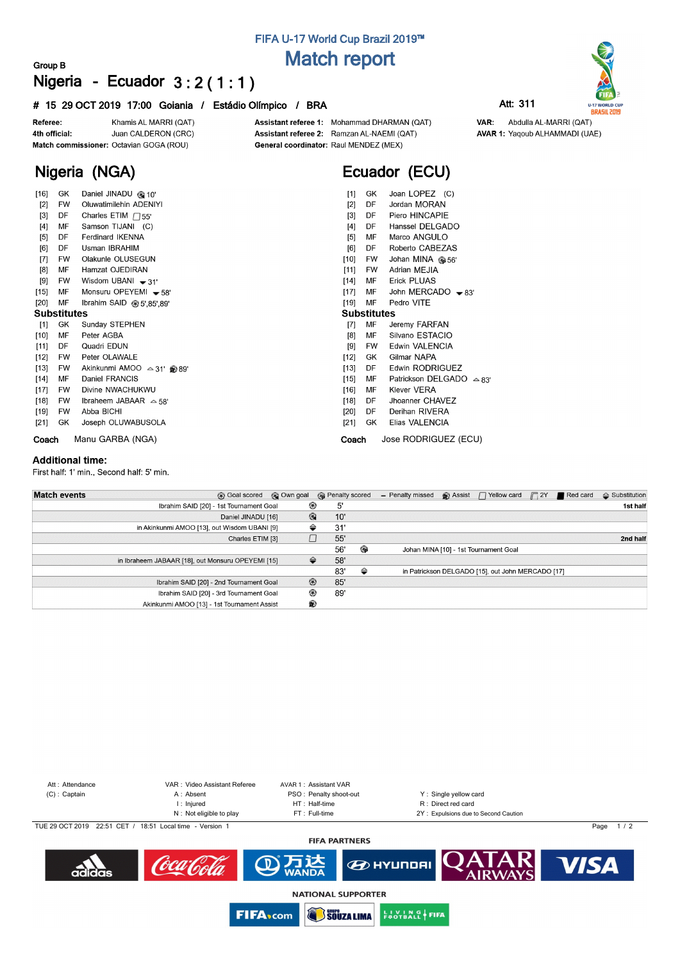## **FIFA U-17 World Cup Brazil 2019™ Match report**

## **Group B Nigeria - Ecuador 3 : 2 ( 1 : 1 )**

### **# 15 29 OCT 2019 17:00 Goiania / Estádio Olímpico / BRA Att: 311**



**Nigeria (NGA)**

Assistant referee 1: Mohammad DHARMAN (QAT) Assistant referee 2: Ramzan AL-NAEMI (QAT) General coordinator: Raul MENDEZ (MEX)

# **Ecuador (ECU)**

| $[16]$             | GK        | Daniel JINADU @ 10'            | GK.<br>[1]         | Joan LOPEZ (C)                     |  |  |  |  |  |  |  |
|--------------------|-----------|--------------------------------|--------------------|------------------------------------|--|--|--|--|--|--|--|
| $[2]$              | <b>FW</b> | <b>Oluwatimilehin ADENIYI</b>  | $[2]$<br>DF        | Jordan MORAN                       |  |  |  |  |  |  |  |
| $[3]$              | DF        | Charles ETIM $\Box$ 55'        | DF<br>$[3]$        | Piero HINCAPIE                     |  |  |  |  |  |  |  |
| $[4]$              | MF        | Samson TIJANI (C)              | [4]<br>DF          | Hanssel DELGADO                    |  |  |  |  |  |  |  |
| [5]                | DF        | Ferdinard IKENNA               | MF<br>[5]          | Marco ANGULO                       |  |  |  |  |  |  |  |
| [6]                | DF        | Usman IBRAHIM                  | [6]<br>DF          | Roberto CABEZAS                    |  |  |  |  |  |  |  |
| $[7]$              | FW        | Olakunle OLUSEGUN              | [10]<br>FW         | Johan MINA @ 56'                   |  |  |  |  |  |  |  |
| [8]                | МF        | Hamzat OJEDIRAN                | $[11]$<br>FW       | Adrian MEJIA                       |  |  |  |  |  |  |  |
| [9]                | <b>FW</b> | Wisdom UBANI $\rightarrow$ 31' | MF<br>[14]         | <b>Erick PLUAS</b>                 |  |  |  |  |  |  |  |
| [15]               | MF        | Monsuru OPEYEMI $-58'$         | $[17]$<br>MF       | John MERCADO $-83'$                |  |  |  |  |  |  |  |
| $[20]$             | MF        | Ibrahim SAID @ 5',85',89'      | [19]<br>MF         | Pedro VITE                         |  |  |  |  |  |  |  |
| <b>Substitutes</b> |           |                                | <b>Substitutes</b> |                                    |  |  |  |  |  |  |  |
| $[1]$              | GK        | Sunday STEPHEN                 | MF<br>$[7]$        | Jeremy FARFAN                      |  |  |  |  |  |  |  |
| [10]               | MF        | Peter AGBA                     | MF<br>[8]          | Silvano ESTACIO                    |  |  |  |  |  |  |  |
| [11]               | DF        | Quadri EDUN                    | [9]<br><b>FW</b>   | Edwin VALENCIA                     |  |  |  |  |  |  |  |
| $[12]$             | FW        | Peter OLAWALE                  | $[12]$<br>GK       | Gilmar NAPA                        |  |  |  |  |  |  |  |
| $[13]$             | FW        | Akinkunmi AMOO △ 31' 289'      | $[13]$<br>DF       | Edwin RODRIGUEZ                    |  |  |  |  |  |  |  |
| $[14]$             | MF        | Daniel FRANCIS                 | $[15]$<br>MF       | Patrickson DELGADO $\triangle$ 83' |  |  |  |  |  |  |  |
| [17]               | FW        | Divine NWACHUKWU               | MF<br>$[16]$       | <b>Klever VERA</b>                 |  |  |  |  |  |  |  |
| $[18]$             | <b>FW</b> | Ibraheem JABAAR $\approx$ 58'  | DF<br>$[18]$       | Jhoanner CHAVEZ                    |  |  |  |  |  |  |  |
| $[19]$             | <b>FW</b> | Abba BICHI                     | DF<br>$[20]$       | Derihan RIVERA                     |  |  |  |  |  |  |  |
| $[21]$             | GK        | Joseph OLUWABUSOLA             | GK<br>[21]         | Elias VALENCIA                     |  |  |  |  |  |  |  |
| Coach              |           | Manu GARBA (NGA)               | Coach              | Jose RODRIGUEZ (ECU)               |  |  |  |  |  |  |  |

#### **Additional time:**

First half: 1' min., Second half: 5' min.

| <b>Match events</b> | © Own goal<br><b>B</b> Goal scored                |                | <b>B</b> Penalty scored |   | - Penalty missed | $\bigcirc$ Assist $\bigcap$ Yellow card           | $\Box$ 2Y | Red card | $\triangle$ Substitution |
|---------------------|---------------------------------------------------|----------------|-------------------------|---|------------------|---------------------------------------------------|-----------|----------|--------------------------|
|                     | Ibrahim SAID [20] - 1st Tournament Goal           | ⊛              | 5'                      |   |                  |                                                   |           |          | 1st half                 |
|                     | Daniel JINADU [16]                                | $^{\circ}$     | 10'                     |   |                  |                                                   |           |          |                          |
|                     | in Akinkunmi AMOO [13], out Wisdom UBANI [9]      | ⇔              | 31                      |   |                  |                                                   |           |          |                          |
|                     | Charles ETIM [3]                                  |                | 55'                     |   |                  |                                                   |           |          | 2nd half                 |
|                     |                                                   |                | 56'                     | ⊕ |                  | Johan MINA [10] - 1st Tournament Goal             |           |          |                          |
|                     | in Ibraheem JABAAR [18], out Monsuru OPEYEMI [15] | ≙              | 58'                     |   |                  |                                                   |           |          |                          |
|                     |                                                   |                | 83'                     | ⇔ |                  | in Patrickson DELGADO [15], out John MERCADO [17] |           |          |                          |
|                     | Ibrahim SAID [20] - 2nd Tournament Goal           | $\circledcirc$ | 85'                     |   |                  |                                                   |           |          |                          |
|                     | Ibrahim SAID [20] - 3rd Tournament Goal           | ⊛              | 89'                     |   |                  |                                                   |           |          |                          |
|                     | Akinkunmi AMOO [13] - 1st Tournament Assist       | ଛ              |                         |   |                  |                                                   |           |          |                          |





VAR: Abdulla AL-MARRI (QAT) **AVAR 1: Yaqoub ALHAMMADI (UAE)**